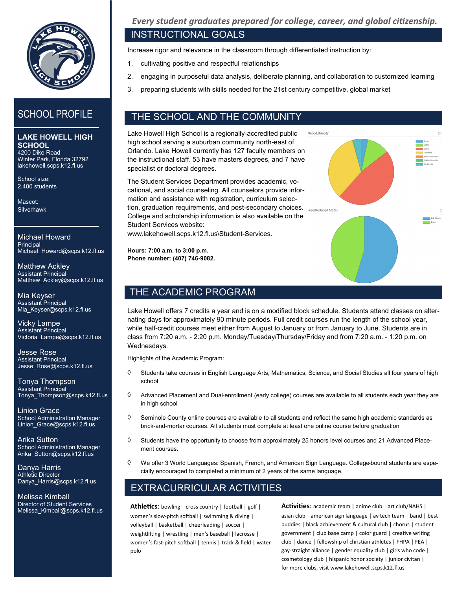

**LAKE HOWELL HIGH SCHOOL** 4200 Dike Road

Winter Park, Florida 32792 lakehowell.scps.k12.fl.us

School size: 2,400 students

Mascot: **Silverhawk** 

Michael Howard **Principal** Michael Howard@scps.k12.fl.us

Matthew Ackley Assistant Principal Matthew Ackley@scps.k12.fl.us

Mia Keyser Assistant Principal Mia\_Keyser@scps.k12.fl.us

Vicky Lampe Assistant Principal Victoria\_Lampe@scps.k12.fl.us

Jesse Rose Assistant Principal Jesse\_Rose@scps.k12.fl.us

Tonya Thompson Assistant Principal Tonya\_Thompson@scps.k12.fl.us

Linion Grace School Administration Manager Linion\_Grace@scps.k12.fl.us

Arika Sutton School Administration Manager Arika\_Sutton@scps.k12.fl.us

Danya Harris Athletic Director Danya\_Harris@scps.k12.fl.us

Melissa Kimball Director of Student Services Melissa\_Kimball@scps.k12.fl.us *Every student graduates prepared for college, career, and global citizenship.*

# INSTRUCTIONAL GOALS

Increase rigor and relevance in the classroom through differentiated instruction by:

- 1. cultivating positive and respectful relationships
- 2. engaging in purposeful data analysis, deliberate planning, and collaboration to customized learning

Race/Ethnicity

3. preparing students with skills needed for the 21st century competitive, global market

# SCHOOL PROFILE **THE SCHOOL AND THE COMMUNITY**

Lake Howell High School is a regionally-accredited public high school serving a suburban community north-east of Orlando. Lake Howell currently has 127 faculty members on the instructional staff. 53 have masters degrees, and 7 have specialist or doctoral degrees.

The Student Services Department provides academic, vocational, and social counseling. All counselors provide information and assistance with registration, curriculum selection, graduation requirements, and post-secondary choices. Free/Reduced Meals College and scholarship information is also available on the Student Services website: www.lakehowell.scps.k12.fl.us\Student-Services.

**Hours: 7:00 a.m. to 3:00 p.m. Phone number: (407) 746-9082.**

# THE ACADEMIC PROGRAM

Lake Howell offers 7 credits a year and is on a modified block schedule. Students attend classes on alternating days for approximately 90 minute periods. Full credit courses run the length of the school year, while half-credit courses meet either from August to January or from January to June. Students are in class from 7:20 a.m. - 2:20 p.m. Monday/Tuesday/Thursday/Friday and from 7:20 a.m. - 1:20 p.m. on Wednesdays.

Highlights of the Academic Program:

- $\Diamond$  Students take courses in English Language Arts, Mathematics, Science, and Social Studies all four years of high school
- $\Diamond$  Advanced Placement and Dual-enrollment (early college) courses are available to all students each year they are in high school
- $\Diamond$  Seminole County online courses are available to all students and reflect the same high academic standards as brick-and-mortar courses. All students must complete at least one online course before graduation
- $\Diamond$  Students have the opportunity to choose from approximately 25 honors level courses and 21 Advanced Placement courses.
- We offer 3 World Languages: Spanish, French, and American Sign Language. College-bound students are especially encouraged to completed a minimum of 2 years of the same language.

# EXTRACURRICULAR ACTIVITIES

**Athletics**: bowling | cross country | football | golf | women's slow-pitch softball | swimming & diving | volleyball | basketball | cheerleading | soccer | weightlifting | wrestling | men's baseball | lacrosse | women's fast-pitch softball | tennis | track & field | water polo

**Activities**: academic team | anime club | art club/NAHS | asian club | american sign language | av tech team | band | best buddies | black achievement & cultural club | chorus | student government | club base camp | color guard | creative writing club | dance | fellowship of christian athletes | FHPA | FEA | gay-straight alliance | gender equality club | girls who code | cosmetology club | hispanic honor society | junior civitan | for more clubs, visit www.lakehowell.scps.k12.fl.us